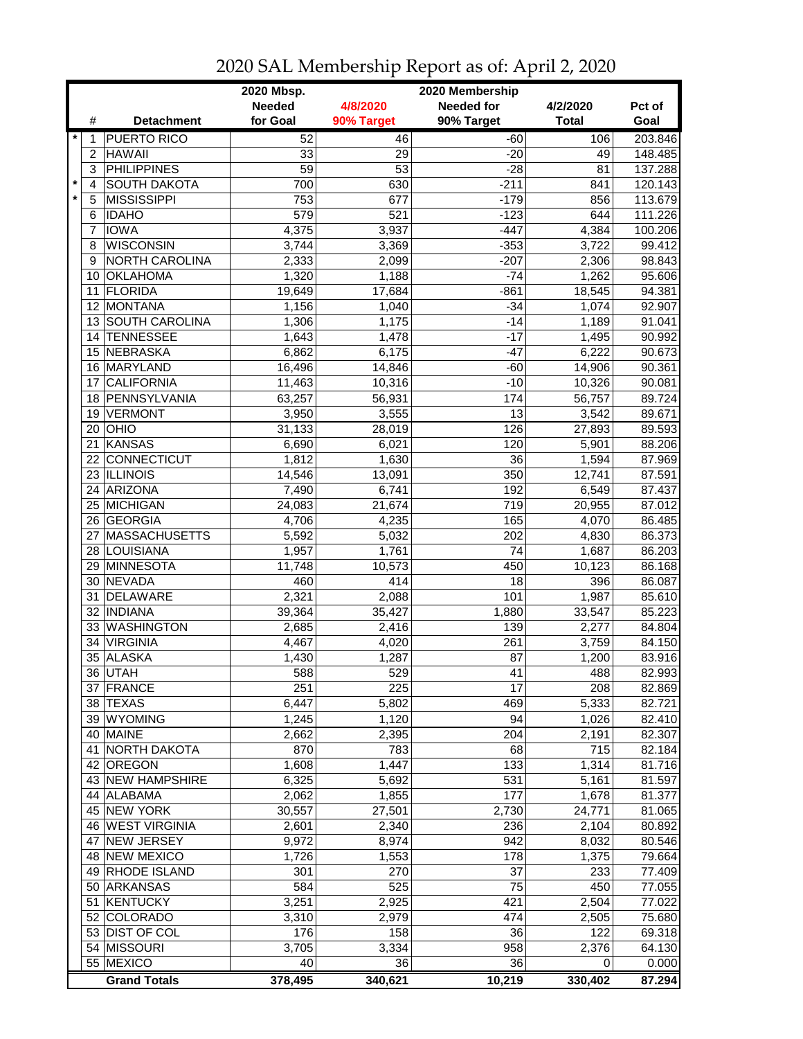|         |                | 2020 Mbsp.<br>2020 Membership |               |            |                   |              |                  |  |
|---------|----------------|-------------------------------|---------------|------------|-------------------|--------------|------------------|--|
|         |                |                               | <b>Needed</b> | 4/8/2020   | <b>Needed for</b> | 4/2/2020     | Pct of           |  |
|         | #              | <b>Detachment</b>             | for Goal      | 90% Target | 90% Target        | <b>Total</b> | Goal             |  |
| $\star$ | 1              | <b>PUERTO RICO</b>            | 52            | 46         | $-60$             | 106          | 203.846          |  |
|         | $\overline{c}$ | <b>HAWAII</b>                 | 33            | 29         | $-20$             | 49           | 148.485          |  |
|         | 3              | <b>PHILIPPINES</b>            | 59            | 53         | $-28$             | 81           | 137.288          |  |
| $\star$ | 4              | <b>SOUTH DAKOTA</b>           | 700           | 630        | $-211$            | 841          | 120.143          |  |
| $\star$ | 5              | <b>MISSISSIPPI</b>            | 753           | 677        | $-179$            | 856          | 113.679          |  |
|         | 6              | <b>IDAHO</b>                  | 579           | 521        | $-123$            | 644          | 111.226          |  |
|         | 7              | <b>IOWA</b>                   | 4,375         | 3,937      | $-447$            | 4,384        | 100.206          |  |
|         | 8              | <b>WISCONSIN</b>              | 3,744         | 3,369      | $-353$            | 3,722        | 99.412           |  |
|         |                | <b>NORTH CAROLINA</b>         |               |            |                   |              |                  |  |
|         | 9              |                               | 2,333         | 2,099      | $-207$            | 2,306        | 98.843           |  |
|         | 10             | <b>OKLAHOMA</b>               | 1,320         | 1,188      | $-74$             | 1,262        | 95.606           |  |
|         | 11             | FLORIDA                       | 19,649        | 17,684     | $-861$            | 18,545       | 94.381           |  |
|         |                | 12 MONTANA                    | 1,156         | 1,040      | $-34$             | 1,074        | 92.907           |  |
|         |                | 13 SOUTH CAROLINA             | 1,306         | 1,175      | $-14$             | 1,189        | 91.041           |  |
|         | 14             | <b>TENNESSEE</b>              | 1,643         | 1,478      | $-17$             | 1,495        | 90.992           |  |
|         |                | 15 NEBRASKA                   | 6,862         | 6,175      | $-47$             | 6,222        | 90.673           |  |
|         |                | 16 MARYLAND                   | 16,496        | 14,846     | $-60$             | 14,906       | 90.361           |  |
|         | 17             | <b>CALIFORNIA</b>             | 11,463        | 10,316     | $-10$             | 10,326       | 90.081           |  |
|         |                | 18 PENNSYLVANIA               | 63,257        | 56,931     | 174               | 56,757       | 89.724           |  |
|         |                | 19 VERMONT                    | 3,950         | 3,555      | 13                | 3,542        | 89.671           |  |
|         |                | $20$ OHIO                     | 31,133        | 28,019     | 126               | 27,893       | 89.593           |  |
|         | 21             | <b>KANSAS</b>                 | 6,690         | 6,021      | 120               | 5,901        | 88.206           |  |
|         |                | 22 CONNECTICUT                | 1,812         | 1,630      | $\overline{36}$   | 1,594        | 87.969           |  |
|         |                | 23 ILLINOIS                   | 14,546        | 13,091     | 350               | 12,741       | 87.591           |  |
|         |                | 24 ARIZONA                    | 7,490         | 6,741      | 192               | 6,549        | 87.437           |  |
|         |                | 25 MICHIGAN                   | 24,083        | 21,674     | 719               | 20,955       | 87.012           |  |
|         |                | 26 GEORGIA                    | 4,706         | 4,235      | 165               | 4,070        | 86.485           |  |
|         | 27             | <b>MASSACHUSETTS</b>          | 5,592         | 5,032      | 202               | 4,830        | 86.373           |  |
|         |                | 28 LOUISIANA                  | 1,957         | 1,761      | 74                | 1,687        | 86.203           |  |
|         | 29             | MINNESOTA                     | 11,748        | 10,573     | 450               | 10,123       | 86.168           |  |
|         | 30             | NEVADA                        | 460           | 414        | 18                | 396          | 86.087           |  |
|         | 31             | DELAWARE                      | 2,321         | 2,088      | 101               | 1,987        | 85.610           |  |
|         | 32             | <b>INDIANA</b>                | 39,364        | 35,427     | 1,880             | 33,547       | 85.223           |  |
|         |                | 33 WASHINGTON                 | 2,685         | 2,416      | 139               | 2,277        | 84.804           |  |
|         | 34             | <b>VIRGINIA</b>               | 4,467         | 4,020      | 261               | 3,759        | 84.150           |  |
|         |                | 35 ALASKA                     | 1,430         | 1,287      | 87                | 1,200        | 83.916           |  |
|         |                | 36 IUTAH                      |               |            |                   |              |                  |  |
|         |                | 37 FRANCE                     | 588<br>251    | 529<br>225 | 41<br>17          | 488<br>208   | 82.993<br>82.869 |  |
|         |                | 38 TEXAS                      | 6,447         | 5,802      |                   | 5,333        |                  |  |
|         |                |                               |               | 1,120      | 469               |              | 82.721           |  |
|         |                | 39 WYOMING                    | 1,245         |            | 94                | 1,026        | 82.410           |  |
|         |                | 40 MAINE                      | 2,662         | 2,395      | 204               | 2,191        | 82.307           |  |
|         |                | 41 NORTH DAKOTA               | 870           | 783        | 68                | 715          | 82.184           |  |
|         |                | 42 OREGON                     | 1,608         | 1,447      | 133               | 1,314        | 81.716           |  |
|         |                | 43 NEW HAMPSHIRE              | 6,325         | 5,692      | 531               | 5,161        | 81.597           |  |
|         |                | 44 ALABAMA                    | 2,062         | 1,855      | 177               | 1,678        | 81.377           |  |
|         |                | 45 NEW YORK                   | 30,557        | 27,501     | 2,730             | 24,771       | 81.065           |  |
|         |                | 46 WEST VIRGINIA              | 2,601         | 2,340      | 236               | 2,104        | 80.892           |  |
|         | 47             | <b>NEW JERSEY</b>             | 9,972         | 8,974      | 942               | 8,032        | 80.546           |  |
|         |                | 48 NEW MEXICO                 | 1,726         | 1,553      | 178               | 1,375        | 79.664           |  |
|         |                | 49 RHODE ISLAND               | 301           | 270        | 37                | 233          | 77.409           |  |
|         |                | 50 ARKANSAS                   | 584           | 525        | 75                | 450          | 77.055           |  |
|         |                | 51 KENTUCKY                   | 3,251         | 2,925      | 421               | 2,504        | 77.022           |  |
|         |                | 52 COLORADO                   | 3,310         | 2,979      | 474               | 2,505        | 75.680           |  |
|         |                | 53 DIST OF COL                | 176           | 158        | 36                | 122          | 69.318           |  |
|         |                | 54 MISSOURI                   | 3,705         | 3,334      | 958               | 2,376        | 64.130           |  |
|         |                | 55 MEXICO                     | 40            | 36         | 36                | 0            | 0.000            |  |
|         |                | <b>Grand Totals</b>           | 378,495       | 340,621    | 10,219            | 330,402      | 87.294           |  |

## 2020 SAL Membership Report as of: April 2, 2020